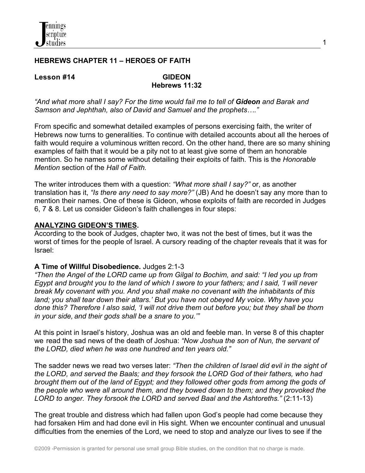

## **HEBREWS CHAPTER 11 – HEROES OF FAITH**

#### **Lesson #14****GIDEON**

# **Hebrews 11:32**

*"And what more shall I say? For the time would fail me to tell of Gideon and Barak and Samson and Jephthah, also of David and Samuel and the prophets…."*

From specific and somewhat detailed examples of persons exercising faith, the writer of Hebrews now turns to generalities. To continue with detailed accounts about all the heroes of faith would require a voluminous written record. On the other hand, there are so many shining examples of faith that it would be a pity not to at least give some of them an honorable mention. So he names some without detailing their exploits of faith. This is the *Honorable Mention* section of the *Hall of Faith.*

The writer introduces them with a question: *"What more shall I say?"* or, as another translation has it, *"Is there any need to say more?"* (JB) And he doesn't say any more than to mention their names. One of these is Gideon, whose exploits of faith are recorded in Judges 6, 7 & 8. Let us consider Gideon's faith challenges in four steps:

#### **ANALYZING GIDEON'S TIMES.**

According to the book of Judges, chapter two, it was not the best of times, but it was the worst of times for the people of Israel. A cursory reading of the chapter reveals that it was for Israel:

#### **A Time of Willful Disobedience.** Judges 2:1-3

*"Then the Angel of the LORD came up from Gilgal to Bochim, and said: "I led you up from Egypt and brought you to the land of which I swore to your fathers; and I said, 'I will never break My covenant with you. And you shall make no covenant with the inhabitants of this land; you shall tear down their altars.' But you have not obeyed My voice. Why have you done this? Therefore I also said, 'I will not drive them out before you; but they shall be thorn in your side, and their gods shall be a snare to you.'"*

At this point in Israel's history, Joshua was an old and feeble man. In verse 8 of this chapter we read the sad news of the death of Joshua: *"Now Joshua the son of Nun, the servant of the LORD, died when he was one hundred and ten years old."*

The sadder news we read two verses later: *"Then the children of Israel did evil in the sight of the LORD, and served the Baals; and they forsook the LORD God of their fathers, who had brought them out of the land of Egypt; and they followed other gods from among the gods of the people who were all around them, and they bowed down to them; and they provoked the LORD to anger. They forsook the LORD and served Baal and the Ashtoreths."* (2:11-13)

The great trouble and distress which had fallen upon God's people had come because they had forsaken Him and had done evil in His sight. When we encounter continual and unusual difficulties from the enemies of the Lord, we need to stop and analyze our lives to see if the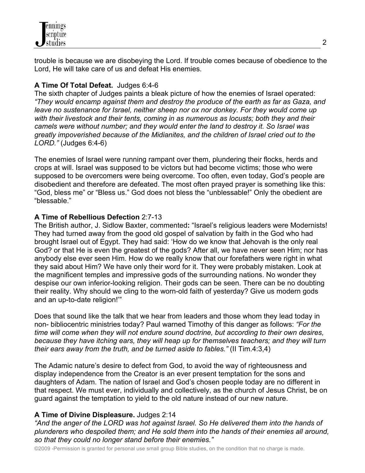trouble is because we are disobeying the Lord. If trouble comes because of obedience to the Lord, He will take care of us and defeat His enemies.

# **A Time Of Total Defeat.** Judges 6:4-6

The sixth chapter of Judges paints a bleak picture of how the enemies of Israel operated: *"They would encamp against them and destroy the produce of the earth as far as Gaza, and leave no sustenance for Israel, neither sheep nor ox nor donkey. For they would come up with their livestock and their tents, coming in as numerous as locusts; both they and their camels were without number; and they would enter the land to destroy it. So Israel was greatly impoverished because of the Midianites, and the children of Israel cried out to the LORD."* (Judges 6:4-6)

The enemies of Israel were running rampant over them, plundering their flocks, herds and crops at will. Israel was supposed to be victors but had become victims; those who were supposed to be overcomers were being overcome. Too often, even today, God's people are disobedient and therefore are defeated. The most often prayed prayer is something like this: "God, bless me" or "Bless us." God does not bless the "unblessable!" Only the obedient are "blessable."

## **A Time of Rebellious Defection** 2:7-13

The British author, J. Sidlow Baxter, commented**:** "Israel's religious leaders were Modernists! They had turned away from the good old gospel of salvation by faith in the God who had brought Israel out of Egypt. They had said: 'How do we know that Jehovah is the only real God? or that He is even the greatest of the gods? After all, we have never seen Him; nor has anybody else ever seen Him. How do we really know that our forefathers were right in what they said about Him? We have only their word for it. They were probably mistaken. Look at the magnificent temples and impressive gods of the surrounding nations. No wonder they despise our own inferior-looking religion. Their gods can be seen. There can be no doubting their reality. Why should we cling to the worn-old faith of yesterday? Give us modern gods and an up-to-date religion!'"

Does that sound like the talk that we hear from leaders and those whom they lead today in non- bibliocentric ministries today? Paul warned Timothy of this danger as follows: *"For the time will come when they will not endure sound doctrine, but according to their own desires, because they have itching ears, they will heap up for themselves teachers; and they will turn their ears away from the truth, and be turned aside to fables."* (II Tim.4:3,4)

The Adamic nature's desire to defect from God, to avoid the way of righteousness and display independence from the Creator is an ever present temptation for the sons and daughters of Adam. The nation of Israel and God's chosen people today are no different in that respect. We must ever, individually and collectively, as the church of Jesus Christ, be on guard against the temptation to yield to the old nature instead of our new nature.

# **A Time of Divine Displeasure.** Judges 2:14

*"And the anger of the LORD was hot against Israel. So He delivered them into the hands of plunderers who despoiled them; and He sold them into the hands of their enemies all around, so that they could no longer stand before their enemies."*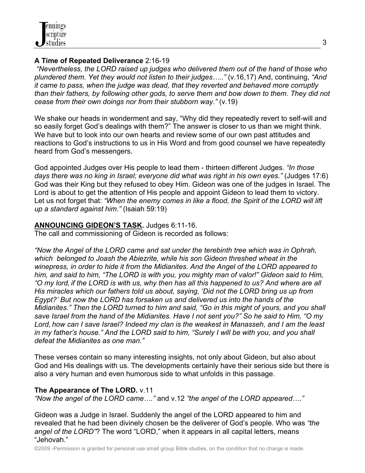## **A Time of Repeated Deliverance** 2:16-19

 *"Nevertheless, the LORD raised up judges who delivered them out of the hand of those who plundered them. Yet they would not listen to their judges….."* (v.16,17) And, continuing, *"And it came to pass, when the judge was dead, that they reverted and behaved more corruptly than their fathers, by following other gods, to serve them and bow down to them. They did not cease from their own doings nor from their stubborn way."* (v.19)

We shake our heads in wonderment and say, "Why did they repeatedly revert to self-will and so easily forget God's dealings with them?" The answer is closer to us than we might think. We have but to look into our own hearts and review some of our own past attitudes and reactions to God's instructions to us in His Word and from good counsel we have repeatedly heard from God's messengers.

God appointed Judges over His people to lead them - thirteen different Judges. *"In those days there was no king in Israel; everyone did what was right in his own eyes."* (Judges 17:6) God was their King but they refused to obey Him. Gideon was one of the judges in Israel. The Lord is about to get the attention of His people and appoint Gideon to lead them to victory. Let us not forget that: *"When the enemy comes in like a flood, the Spirit of the LORD will lift up a standard against him."* (Isaiah 59:19)

## **ANNOUNCING GIDEON'S TASK.** Judges 6:11-16.

The call and commissioning of Gideon is recorded as follows:

*"Now the Angel of the LORD came and sat under the terebinth tree which was in Ophrah, which belonged to Joash the Abiezrite, while his son Gideon threshed wheat in the winepress, in order to hide it from the Midianites. And the Angel of the LORD appeared to him, and said to him, "The LORD is with you, you mighty man of valor!" Gideon said to Him, "O my lord, if the LORD is with us, why then has all this happened to us? And where are all His miracles which our fathers told us about, saying, 'Did not the LORD bring us up from Egypt?' But now the LORD has forsaken us and delivered us into the hands of the Midianites." Then the LORD turned to him and said, "Go in this might of yours, and you shall save Israel from the hand of the Midianites. Have I not sent you?" So he said to Him, "O my Lord, how can I save Israel? Indeed my clan is the weakest in Manasseh, and I am the least in my father's house." And the LORD said to him, "Surely I will be with you, and you shall defeat the Midianites as one man."*

These verses contain so many interesting insights, not only about Gideon, but also about God and His dealings with us. The developments certainly have their serious side but there is also a very human and even humorous side to what unfolds in this passage.

# **The Appearance of The LORD.** v.11

*"Now the angel of the LORD came…."* and v.12 *"the angel of the LORD appeared…."*

Gideon was a Judge in Israel. Suddenly the angel of the LORD appeared to him and revealed that he had been divinely chosen be the deliverer of God's people. Who was *"the angel of the LORD"*? The word "LORD," when it appears in all capital letters, means "Jehovah."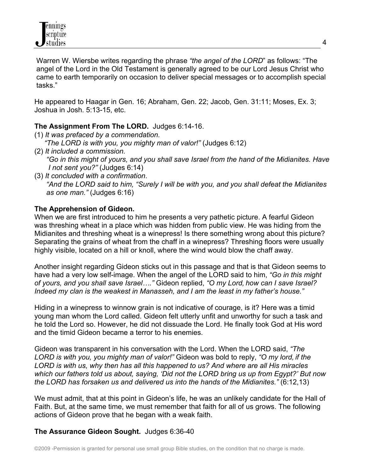Warren W. Wiersbe writes regarding the phrase *"the angel of the LORD*" as follows: "The angel of the Lord in the Old Testament is generally agreed to be our Lord Jesus Christ who came to earth temporarily on occasion to deliver special messages or to accomplish special tasks."

He appeared to Haagar in Gen. 16; Abraham, Gen. 22; Jacob, Gen. 31:11; Moses, Ex. 3; Joshua in Josh. 5:13-15, etc.

## **The Assignment From The LORD.** Judges 6:14-16.

(1) *It was prefaced by a commendation.*

 *"The LORD is with you, you mighty man of valor!"* (Judges 6:12)

- (2) *It included a commission. "Go in this might of yours, and you shall save Israel from the hand of the Midianites. Have I not sent you?"* (Judges 6:14)
- (3) *It concluded with a confirmation*. *"And the LORD said to him, "Surely I will be with you, and you shall defeat the Midianites as one man."* (Judges 6:16)

#### **The Apprehension of Gideon.**

When we are first introduced to him he presents a very pathetic picture. A fearful Gideon was threshing wheat in a place which was hidden from public view. He was hiding from the Midianites and threshing wheat is a winepress! Is there something wrong about this picture? Separating the grains of wheat from the chaff in a winepress? Threshing floors were usually highly visible, located on a hill or knoll, where the wind would blow the chaff away.

Another insight regarding Gideon sticks out in this passage and that is that Gideon seems to have had a very low self-image. When the angel of the LORD said to him, *"Go in this might of yours, and you shall save Israel…."* Gideon replied, *"O my Lord, how can I save Israel? Indeed my clan is the weakest in Manasseh, and I am the least in my father's house."* 

Hiding in a winepress to winnow grain is not indicative of courage, is it? Here was a timid young man whom the Lord called. Gideon felt utterly unfit and unworthy for such a task and he told the Lord so. However, he did not dissuade the Lord. He finally took God at His word and the timid Gideon became a terror to his enemies.

Gideon was transparent in his conversation with the Lord. When the LORD said, *"The LORD is with you, you mighty man of valor!"* Gideon was bold to reply, *"O my lord, if the LORD is with us, why then has all this happened to us? And where are all His miracles which our fathers told us about, saying, 'Did not the LORD bring us up from Egypt?' But now the LORD has forsaken us and delivered us into the hands of the Midianites."* (6:12,13)

We must admit, that at this point in Gideon's life, he was an unlikely candidate for the Hall of Faith. But, at the same time, we must remember that faith for all of us grows. The following actions of Gideon prove that he began with a weak faith.

## **The Assurance Gideon Sought.** Judges 6:36-40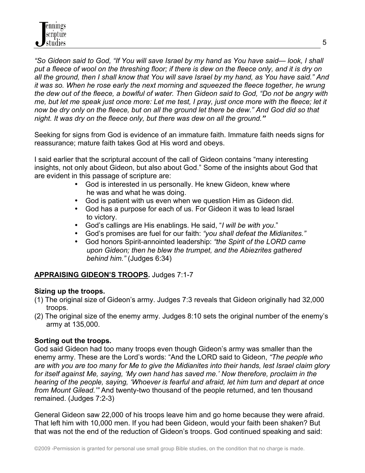*"So Gideon said to God, "If You will save Israel by my hand as You have said— look, I shall*  put a fleece of wool on the threshing floor; if there is dew on the fleece only, and it is dry on *all the ground, then I shall know that You will save Israel by my hand, as You have said." And it was so. When he rose early the next morning and squeezed the fleece together, he wrung the dew out of the fleece, a bowlful of water. Then Gideon said to God, "Do not be angry with me, but let me speak just once more: Let me test, I pray, just once more with the fleece; let it now be dry only on the fleece, but on all the ground let there be dew." And God did so that night. It was dry on the fleece only, but there was dew on all the ground."* 

Seeking for signs from God is evidence of an immature faith. Immature faith needs signs for reassurance; mature faith takes God at His word and obeys.

I said earlier that the scriptural account of the call of Gideon contains "many interesting insights, not only about Gideon, but also about God." Some of the insights about God that are evident in this passage of scripture are:

- God is interested in us personally. He knew Gideon, knew where he was and what he was doing.
- God is patient with us even when we question Him as Gideon did.
- God has a purpose for each of us. For Gideon it was to lead Israel to victory.
- God's callings are His enablings. He said, "*I will be with you*."
- God's promises are fuel for our faith: *"you shall defeat the Midianites."*
- God honors Spirit-annointed leadership: *"the Spirit of the LORD came upon Gideon; then he blew the trumpet, and the Abiezrites gathered behind him."* (Judges 6:34)

## **APPRAISING GIDEON'S TROOPS.** Judges 7:1-7

#### **Sizing up the troops.**

- (1) The original size of Gideon's army. Judges 7:3 reveals that Gideon originally had 32,000 troops.
- (2) The original size of the enemy army. Judges 8:10 sets the original number of the enemy's army at 135,000.

#### **Sorting out the troops.**

God said Gideon had too many troops even though Gideon's army was smaller than the enemy army. These are the Lord's words: "And the LORD said to Gideon, *"The people who are with you are too many for Me to give the Midianites into their hands, lest Israel claim glory for itself against Me, saying, 'My own hand has saved me.' Now therefore, proclaim in the hearing of the people, saying, 'Whoever is fearful and afraid, let him turn and depart at once from Mount Gilead.'"* And twenty-two thousand of the people returned, and ten thousand remained. (Judges 7:2-3)

General Gideon saw 22,000 of his troops leave him and go home because they were afraid. That left him with 10,000 men. If you had been Gideon, would your faith been shaken? But that was not the end of the reduction of Gideon's troops. God continued speaking and said: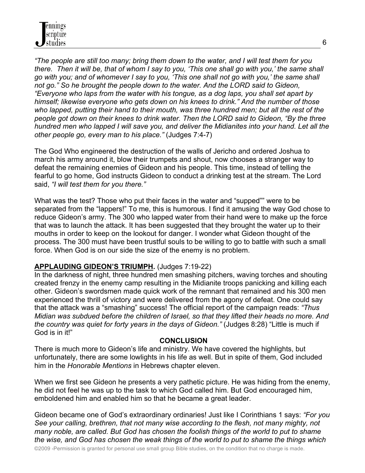*"The people are still too many; bring them down to the water, and I will test them for you there. Then it will be, that of whom I say to you, 'This one shall go with you,' the same shall go with you; and of whomever I say to you, 'This one shall not go with you,' the same shall not go." So he brought the people down to the water. And the LORD said to Gideon, "Everyone who laps from the water with his tongue, as a dog laps, you shall set apart by himself; likewise everyone who gets down on his knees to drink." And the number of those who lapped, putting their hand to their mouth, was three hundred men; but all the rest of the people got down on their knees to drink water. Then the LORD said to Gideon, "By the three hundred men who lapped I will save you, and deliver the Midianites into your hand. Let all the other people go, every man to his place."* (Judges 7:4-7)

The God Who engineered the destruction of the walls of Jericho and ordered Joshua to march his army around it, blow their trumpets and shout, now chooses a stranger way to defeat the remaining enemies of Gideon and his people. This time, instead of telling the fearful to go home, God instructs Gideon to conduct a drinking test at the stream. The Lord said, *"I will test them for you there."*

What was the test? Those who put their faces in the water and "supped"" were to be separated from the "lappers!" To me, this is humorous. I find it amusing the way God chose to reduce Gideon's army. The 300 who lapped water from their hand were to make up the force that was to launch the attack. It has been suggested that they brought the water up to their mouths in order to keep on the lookout for danger. I wonder what Gideon thought of the process. The 300 must have been trustful souls to be willing to go to battle with such a small force. When God is on our side the size of the enemy is no problem.

## **APPLAUDING GIDEON'S TRIUMPH.** (Judges 7:19-22)

In the darkness of night, three hundred men smashing pitchers, waving torches and shouting created frenzy in the enemy camp resulting in the Midianite troops panicking and killing each other. Gideon's swordsmen made quick work of the remnant that remained and his 300 men experienced the thrill of victory and were delivered from the agony of defeat. One could say that the attack was a "smashing" success! The official report of the campaign reads: *"Thus Midian was subdued before the children of Israel, so that they lifted their heads no more. And the country was quiet for forty years in the days of Gideon."* (Judges 8:28) "Little is much if God is in it!"

#### **CONCLUSION**

There is much more to Gideon's life and ministry. We have covered the highlights, but unfortunately, there are some lowlights in his life as well. But in spite of them, God included him in the *Honorable Mentions* in Hebrews chapter eleven.

When we first see Gideon he presents a very pathetic picture. He was hiding from the enemy, he did not feel he was up to the task to which God called him. But God encouraged him, emboldened him and enabled him so that he became a great leader.

Gideon became one of God's extraordinary ordinaries! Just like I Corinthians 1 says: *"For you See your calling, brethren, that not many wise according to the flesh, not many mighty, not many noble, are called. But God has chosen the foolish things of the world to put to shame the wise, and God has chosen the weak things of the world to put to shame the things which*